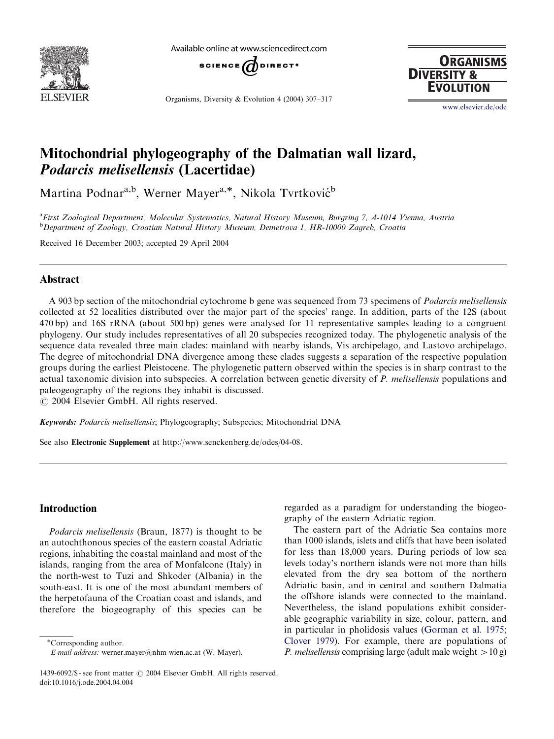

Available online at www.sciencedirect.com



Organisms, Diversity & Evolution 4 (2004) 307–317



[www.elsevier.de/ode](www.elseviereutschland.de/ode)

# Mitochondrial phylogeography of the Dalmatian wall lizard, Podarcis melisellensis (Lacertidae)

Martina Podnar<sup>a,b</sup>, Werner Mayer<sup>a,\*</sup>, Nikola Tvrtković<sup>b</sup>

<sup>a</sup> First Zoological Department, Molecular Systematics, Natural History Museum, Burgring 7, A-1014 Vienna, Austria <sup>b</sup>Department of Zoology, Croatian Natural History Museum, Demetrova 1, HR-10000 Zagreb, Croatia

Received 16 December 2003; accepted 29 April 2004

## Abstract

A 903 bp section of the mitochondrial cytochrome b gene was sequenced from 73 specimens of *Podarcis melisellensis* collected at 52 localities distributed over the major part of the species' range. In addition, parts of the 12S (about 470 bp) and 16S rRNA (about 500 bp) genes were analysed for 11 representative samples leading to a congruent phylogeny. Our study includes representatives of all 20 subspecies recognized today. The phylogenetic analysis of the sequence data revealed three main clades: mainland with nearby islands, Vis archipelago, and Lastovo archipelago. The degree of mitochondrial DNA divergence among these clades suggests a separation of the respective population groups during the earliest Pleistocene. The phylogenetic pattern observed within the species is in sharp contrast to the actual taxonomic division into subspecies. A correlation between genetic diversity of P. melisellensis populations and paleogeography of the regions they inhabit is discussed.

 $\odot$  2004 Elsevier GmbH. All rights reserved.

Keywords: Podarcis melisellensis; Phylogeography; Subspecies; Mitochondrial DNA

See also Electronic Supplement at http://www.senckenberg.de/odes/04-08.

# Introduction

Podarcis melisellensis (Braun, 1877) is thought to be an autochthonous species of the eastern coastal Adriatic regions, inhabiting the coastal mainland and most of the islands, ranging from the area of Monfalcone (Italy) in the north-west to Tuzi and Shkoder (Albania) in the south-east. It is one of the most abundant members of the herpetofauna of the Croatian coast and islands, and therefore the biogeography of this species can be

Corresponding author. E-mail address: werner.mayer@nhm-wien.ac.at (W. Mayer). regarded as a paradigm for understanding the biogeography of the eastern Adriatic region.

The eastern part of the Adriatic Sea contains more than 1000 islands, islets and cliffs that have been isolated for less than 18,000 years. During periods of low sea levels today's northern islands were not more than hills elevated from the dry sea bottom of the northern Adriatic basin, and in central and southern Dalmatia the offshore islands were connected to the mainland. Nevertheless, the island populations exhibit considerable geographic variability in size, colour, pattern, and in particular in pholidosis values [\(Gorman et al. 1975;](#page-9-0) [Clover 1979](#page-9-0)). For example, there are populations of *P. melisellensis* comprising large (adult male weight  $> 10 g$ )

<sup>1439-6092/\$ -</sup> see front matter  $\odot$  2004 Elsevier GmbH. All rights reserved. doi:10.1016/j.ode.2004.04.004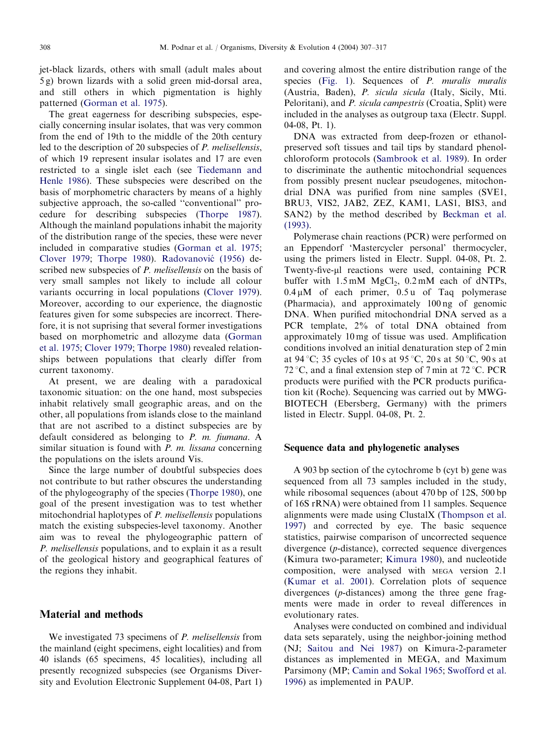jet-black lizards, others with small (adult males about 5 g) brown lizards with a solid green mid-dorsal area, and still others in which pigmentation is highly patterned ([Gorman et al. 1975](#page-9-0)).

The great eagerness for describing subspecies, especially concerning insular isolates, that was very common from the end of 19th to the middle of the 20th century led to the description of 20 subspecies of P. melisellensis, of which 19 represent insular isolates and 17 are even restricted to a single islet each (see [Tiedemann and](#page-10-0) [Henle 1986\)](#page-10-0). These subspecies were described on the basis of morphometric characters by means of a highly subjective approach, the so-called ''conventional'' procedure for describing subspecies [\(Thorpe 1987\)](#page-10-0). Although the mainland populations inhabit the majority of the distribution range of the species, these were never included in comparative studies ([Gorman et al. 1975;](#page-9-0) [Clover 1979;](#page-9-0) [Thorpe 1980](#page-10-0)). Radovanović (1956) described new subspecies of P. melisellensis on the basis of very small samples not likely to include all colour variants occurring in local populations ([Clover 1979\)](#page-9-0). Moreover, according to our experience, the diagnostic features given for some subspecies are incorrect. Therefore, it is not suprising that several former investigations based on morphometric and allozyme data [\(Gorman](#page-9-0) [et al. 1975;](#page-9-0) [Clover 1979](#page-9-0); [Thorpe 1980\)](#page-10-0) revealed relationships between populations that clearly differ from current taxonomy.

At present, we are dealing with a paradoxical taxonomic situation: on the one hand, most subspecies inhabit relatively small geographic areas, and on the other, all populations from islands close to the mainland that are not ascribed to a distinct subspecies are by default considered as belonging to P. m. fiumana. A similar situation is found with  $P$ . m. lissana concerning the populations on the islets around Vis.

Since the large number of doubtful subspecies does not contribute to but rather obscures the understanding of the phylogeography of the species ([Thorpe 1980\)](#page-10-0), one goal of the present investigation was to test whether mitochondrial haplotypes of P. melisellensis populations match the existing subspecies-level taxonomy. Another aim was to reveal the phylogeographic pattern of P. melisellensis populations, and to explain it as a result of the geological history and geographical features of the regions they inhabit.

## Material and methods

We investigated 73 specimens of *P. melisellensis* from the mainland (eight specimens, eight localities) and from 40 islands (65 specimens, 45 localities), including all presently recognized subspecies (see Organisms Diversity and Evolution Electronic Supplement 04-08, Part 1) and covering almost the entire distribution range of the species ([Fig. 1\)](#page-2-0). Sequences of *P. muralis muralis* (Austria, Baden), P. sicula sicula (Italy, Sicily, Mti. Peloritani), and P. sicula campestris (Croatia, Split) were included in the analyses as outgroup taxa (Electr. Suppl. 04-08, Pt. 1).

DNA was extracted from deep-frozen or ethanolpreserved soft tissues and tail tips by standard phenolchloroform protocols ([Sambrook et al. 1989\)](#page-9-0). In order to discriminate the authentic mitochondrial sequences from possibly present nuclear pseudogenes, mitochondrial DNA was purified from nine samples (SVE1, BRU3, VIS2, JAB2, ZEZ, KAM1, LAS1, BIS3, and SAN2) by the method described by [Beckman et al.](#page-9-0) [\(1993\)](#page-9-0).

Polymerase chain reactions (PCR) were performed on an Eppendorf 'Mastercycler personal' thermocycler, using the primers listed in Electr. Suppl. 04-08, Pt. 2. Twenty-five-ul reactions were used, containing PCR buffer with  $1.5 \text{ mM } MgCl<sub>2</sub>$ ,  $0.2 \text{ mM }$  each of dNTPs,  $0.4 \mu M$  of each primer,  $0.5 \mu$  of Taq polymerase (Pharmacia), and approximately 100 ng of genomic DNA. When purified mitochondrial DNA served as a PCR template,  $2\%$  of total DNA obtained from approximately 10 mg of tissue was used. Amplification conditions involved an initial denaturation step of 2 min at 94 °C; 35 cycles of 10 s at 95 °C, 20 s at 50 °C, 90 s at 72 °C, and a final extension step of 7 min at 72 °C. PCR products were purified with the PCR products purification kit (Roche). Sequencing was carried out by MWG-BIOTECH (Ebersberg, Germany) with the primers listed in Electr. Suppl. 04-08, Pt. 2.

### Sequence data and phylogenetic analyses

A 903 bp section of the cytochrome b (cyt b) gene was sequenced from all 73 samples included in the study, while ribosomal sequences (about 470 bp of 12S, 500 bp of 16S rRNA) were obtained from 11 samples. Sequence alignments were made using ClustalX ([Thompson et al.](#page-10-0) [1997](#page-10-0)) and corrected by eye. The basic sequence statistics, pairwise comparison of uncorrected sequence divergence (p-distance), corrected sequence divergences (Kimura two-parameter; [Kimura 1980\)](#page-9-0), and nucleotide composition, were analysed with MEGA version 2.1 ([Kumar et al. 2001](#page-9-0)). Correlation plots of sequence divergences (p-distances) among the three gene fragments were made in order to reveal differences in evolutionary rates.

Analyses were conducted on combined and individual data sets separately, using the neighbor-joining method (NJ; [Saitou and Nei 1987\)](#page-9-0) on Kimura-2-parameter distances as implemented in MEGA, and Maximum Parsimony (MP; [Camin and Sokal 1965;](#page-9-0) [Swofford et al.](#page-9-0) [1996](#page-9-0)) as implemented in PAUP.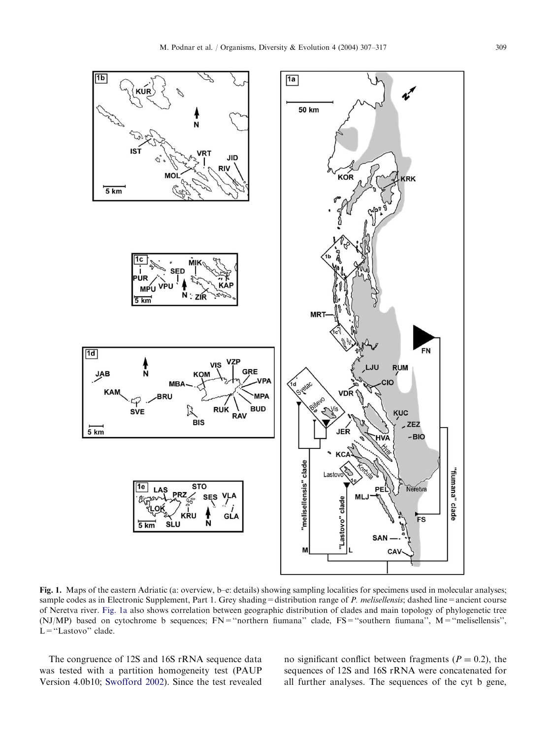<span id="page-2-0"></span>

Fig. 1. Maps of the eastern Adriatic (a: overview, b–e: details) showing sampling localities for specimens used in molecular analyses; sample codes as in Electronic Supplement, Part 1. Grey shading=distribution range of P. melisellensis; dashed line=ancient course of Neretva river. Fig. 1a also shows correlation between geographic distribution of clades and main topology of phylogenetic tree (NJ/MP) based on cytochrome b sequences;  $FN = "northern$  fiumana" clade,  $FS = "southern$  fiumana",  $M = "melisellensis",$ L=''Lastovo'' clade.

The congruence of 12S and 16S rRNA sequence data was tested with a partition homogeneity test (PAUP Version 4.0b10; [Swofford 2002](#page-9-0)). Since the test revealed no significant conflict between fragments ( $P = 0.2$ ), the sequences of 12S and 16S rRNA were concatenated for all further analyses. The sequences of the cyt b gene,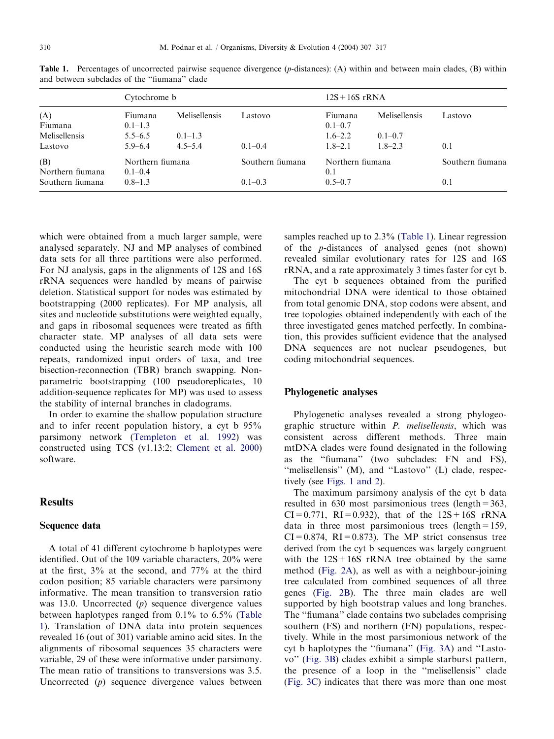|                          | Cytochrome b                    |                            |                  | $12S+16S$ rRNA             |                            |                  |
|--------------------------|---------------------------------|----------------------------|------------------|----------------------------|----------------------------|------------------|
| (A)<br>Fiumana           | Fiumana<br>$0.1 - 1.3$          | Melisellensis              | Lastovo          | Fiumana<br>$0.1 - 0.7$     | Melisellensis              | Lastovo          |
| Melisellensis<br>Lastovo | $5.5 - 6.5$<br>$5.9 - 6.4$      | $0.1 - 1.3$<br>$4.5 - 5.4$ | $0.1 - 0.4$      | $1.6 - 2.2$<br>$1.8 - 2.1$ | $0.1 - 0.7$<br>$1.8 - 2.3$ | 0.1              |
| (B)<br>Northern fiumana  | Northern fiumana<br>$0.1 - 0.4$ |                            | Southern fiumana | Northern fiumana<br>0.1    |                            | Southern fiumana |
| Southern fiumana         | $0.8 - 1.3$                     |                            | $0.1 - 0.3$      | $0.5 - 0.7$                |                            | 0.1              |

<span id="page-3-0"></span>Table 1. Percentages of uncorrected pairwise sequence divergence (p-distances): (A) within and between main clades, (B) within and between subclades of the ''fiumana'' clade

which were obtained from a much larger sample, were analysed separately. NJ and MP analyses of combined data sets for all three partitions were also performed. For NJ analysis, gaps in the alignments of 12S and 16S rRNA sequences were handled by means of pairwise deletion. Statistical support for nodes was estimated by bootstrapping (2000 replicates). For MP analysis, all sites and nucleotide substitutions were weighted equally, and gaps in ribosomal sequences were treated as fifth character state. MP analyses of all data sets were conducted using the heuristic search mode with 100 repeats, randomized input orders of taxa, and tree bisection-reconnection (TBR) branch swapping. Nonparametric bootstrapping (100 pseudoreplicates, 10 addition-sequence replicates for MP) was used to assess the stability of internal branches in cladograms.

In order to examine the shallow population structure and to infer recent population history, a cyt b  $95\%$ parsimony network [\(Templeton et al. 1992\)](#page-9-0) was constructed using TCS (v1.13:2; [Clement et al. 2000](#page-9-0)) software.

## Results

#### Sequence data

A total of 41 different cytochrome b haplotypes were identified. Out of the 109 variable characters, 20% were at the first, 3% at the second, and 77% at the third codon position; 85 variable characters were parsimony informative. The mean transition to transversion ratio was 13.0. Uncorrected  $(p)$  sequence divergence values between haplotypes ranged from 0.1% to 6.5% (Table 1). Translation of DNA data into protein sequences revealed 16 (out of 301) variable amino acid sites. In the alignments of ribosomal sequences 35 characters were variable, 29 of these were informative under parsimony. The mean ratio of transitions to transversions was 3.5. Uncorrected  $(p)$  sequence divergence values between

samples reached up to 2.3% (Table 1). Linear regression of the p-distances of analysed genes (not shown) revealed similar evolutionary rates for 12S and 16S rRNA, and a rate approximately 3 times faster for cyt b.

The cyt b sequences obtained from the purified mitochondrial DNA were identical to those obtained from total genomic DNA, stop codons were absent, and tree topologies obtained independently with each of the three investigated genes matched perfectly. In combination, this provides sufficient evidence that the analysed DNA sequences are not nuclear pseudogenes, but coding mitochondrial sequences.

# Phylogenetic analyses

Phylogenetic analyses revealed a strong phylogeographic structure within P. melisellensis, which was consistent across different methods. Three main mtDNA clades were found designated in the following as the ''fiumana'' (two subclades: FN and FS), "melisellensis" (M), and "Lastovo" (L) clade, respectively (see [Figs. 1 and 2](#page-2-0)).

The maximum parsimony analysis of the cyt b data resulted in 630 most parsimonious trees (length=363,  $CI = 0.771$ ,  $RI = 0.932$ ), that of the  $12S + 16S$  rRNA data in three most parsimonious trees (length=159,  $CI = 0.874$ ,  $RI = 0.873$ ). The MP strict consensus tree derived from the cyt b sequences was largely congruent with the  $12S+16S$  rRNA tree obtained by the same method [\(Fig. 2A](#page-4-0)), as well as with a neighbour-joining tree calculated from combined sequences of all three genes ([Fig. 2B](#page-4-0)). The three main clades are well supported by high bootstrap values and long branches. The ''fiumana'' clade contains two subclades comprising southern (FS) and northern (FN) populations, respectively. While in the most parsimonious network of the cyt b haplotypes the "fiumana" [\(Fig. 3A\)](#page-5-0) and "Lastovo'' [\(Fig. 3B\)](#page-5-0) clades exhibit a simple starburst pattern, the presence of a loop in the ''melisellensis'' clade ([Fig. 3C\)](#page-5-0) indicates that there was more than one most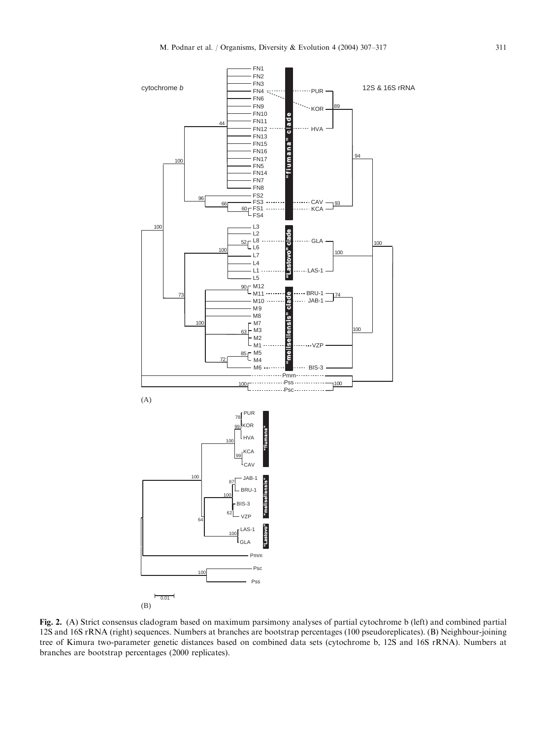<span id="page-4-0"></span>

Fig. 2. (A) Strict consensus cladogram based on maximum parsimony analyses of partial cytochrome b (left) and combined partial 12S and 16S rRNA (right) sequences. Numbers at branches are bootstrap percentages (100 pseudoreplicates). (B) Neighbour-joining tree of Kimura two-parameter genetic distances based on combined data sets (cytochrome b, 12S and 16S rRNA). Numbers at branches are bootstrap percentages (2000 replicates).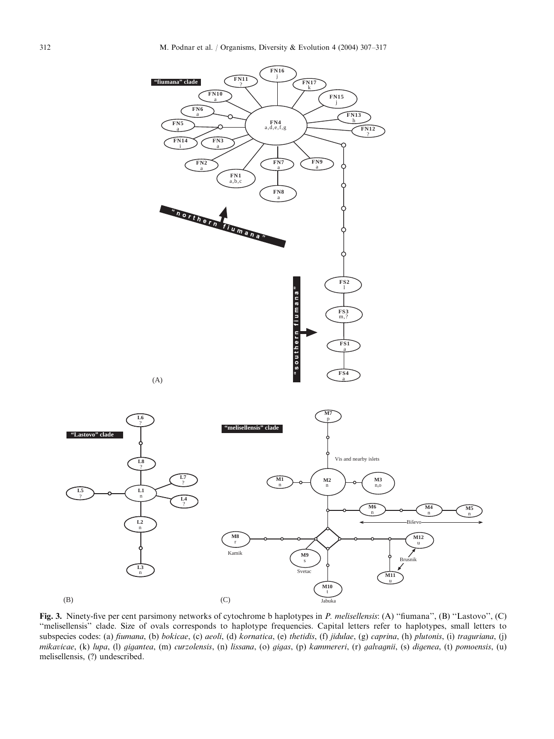<span id="page-5-0"></span>

Fig. 3. Ninety-five per cent parsimony networks of cytochrome b haplotypes in P. melisellensis: (A) "fiumana", (B) "Lastovo", (C) ''melisellensis'' clade. Size of ovals corresponds to haplotype frequencies. Capital letters refer to haplotypes, small letters to subspecies codes: (a) fiumana, (b) bokicae, (c) aeoli, (d) kornatica, (e) thetidis, (f) jidulae, (g) caprina, (h) plutonis, (i) traguriana, (j) mikavicae, (k) lupa, (l) gigantea, (m) curzolensis, (n) lissana, (o) gigas, (p) kammereri, (r) galvagnii, (s) digenea, (t) pomoensis, (u) melisellensis, (?) undescribed.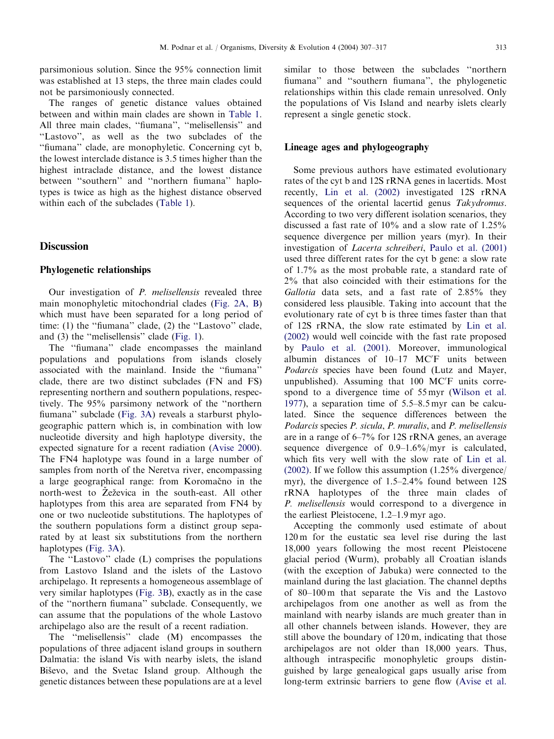parsimonious solution. Since the 95% connection limit was established at 13 steps, the three main clades could not be parsimoniously connected.

The ranges of genetic distance values obtained between and within main clades are shown in [Table 1.](#page-3-0) All three main clades, ''fiumana'', ''melisellensis'' and ''Lastovo'', as well as the two subclades of the ''fiumana'' clade, are monophyletic. Concerning cyt b, the lowest interclade distance is 3.5 times higher than the highest intraclade distance, and the lowest distance between ''southern'' and ''northern fiumana'' haplotypes is twice as high as the highest distance observed within each of the subclades [\(Table 1\)](#page-3-0).

#### **Discussion**

#### Phylogenetic relationships

Our investigation of P. melisellensis revealed three main monophyletic mitochondrial clades [\(Fig. 2A, B](#page-4-0)) which must have been separated for a long period of time: (1) the ''fiumana'' clade, (2) the ''Lastovo'' clade, and (3) the ''melisellensis'' clade ([Fig. 1](#page-2-0)).

The ''fiumana'' clade encompasses the mainland populations and populations from islands closely associated with the mainland. Inside the ''fiumana'' clade, there are two distinct subclades (FN and FS) representing northern and southern populations, respectively. The 95% parsimony network of the ''northern fiumana'' subclade [\(Fig. 3A\)](#page-5-0) reveals a starburst phylogeographic pattern which is, in combination with low nucleotide diversity and high haplotype diversity, the expected signature for a recent radiation [\(Avise 2000\)](#page-9-0). The FN4 haplotype was found in a large number of samples from north of the Neretva river, encompassing a large geographical range: from Koromačno in the north-west to  $\check{Z}$ eževica in the south-east. All other haplotypes from this area are separated from FN4 by one or two nucleotide substitutions. The haplotypes of the southern populations form a distinct group separated by at least six substitutions from the northern haplotypes [\(Fig. 3A\)](#page-5-0).

The ''Lastovo'' clade (L) comprises the populations from Lastovo Island and the islets of the Lastovo archipelago. It represents a homogeneous assemblage of very similar haplotypes [\(Fig. 3B](#page-5-0)), exactly as in the case of the ''northern fiumana'' subclade. Consequently, we can assume that the populations of the whole Lastovo archipelago also are the result of a recent radiation.

The ''melisellensis'' clade (M) encompasses the populations of three adjacent island groups in southern Dalmatia: the island Vis with nearby islets, the island Biševo, and the Svetac Island group. Although the genetic distances between these populations are at a level

similar to those between the subclades ''northern fiumana'' and ''southern fiumana'', the phylogenetic relationships within this clade remain unresolved. Only the populations of Vis Island and nearby islets clearly represent a single genetic stock.

### Lineage ages and phylogeography

Some previous authors have estimated evolutionary rates of the cyt b and 12S rRNA genes in lacertids. Most recently, [Lin et al. \(2002\)](#page-9-0) investigated 12S rRNA sequences of the oriental lacertid genus Takydromus. According to two very different isolation scenarios, they discussed a fast rate of 10% and a slow rate of 1.25% sequence divergence per million years (myr). In their investigation of Lacerta schreiberi, [Paulo et al. \(2001\)](#page-9-0) used three different rates for the cyt b gene: a slow rate of 1.7% as the most probable rate, a standard rate of 2% that also coincided with their estimations for the Gallotia data sets, and a fast rate of 2.85% they considered less plausible. Taking into account that the evolutionary rate of cyt bis three times faster than that of 12S rRNA, the slow rate estimated by [Lin et al.](#page-9-0) [\(2002\)](#page-9-0) would well coincide with the fast rate proposed by [Paulo et al. \(2001\)](#page-9-0). Moreover, immunological albumin distances of  $10-17$  MC'F units between Podarcis species have been found (Lutz and Mayer, unpublished). Assuming that  $100$  MC'F units correspond to a divergence time of 55 myr [\(Wilson et al.](#page-10-0) [1977](#page-10-0)), a separation time of 5.5–8.5 myr can be calculated. Since the sequence differences between the Podarcis species P. sicula, P. muralis, and P. melisellensis are in a range of 6–7% for 12S rRNA genes, an average sequence divergence of 0.9–1.6%/myr is calculated, which fits very well with the slow rate of [Lin et al.](#page-9-0) [\(2002\)](#page-9-0). If we follow this assumption  $(1.25\%$  divergence/ myr), the divergence of 1.5–2.4% found between 12S rRNA haplotypes of the three main clades of P. melisellensis would correspond to a divergence in the earliest Pleistocene, 1.2–1.9 myr ago.

Accepting the commonly used estimate of about 120 m for the eustatic sea level rise during the last 18,000 years following the most recent Pleistocene glacial period (Wurm), probably all Croatian islands (with the exception of Jabuka) were connected to the mainland during the last glaciation. The channel depths of 80–100 m that separate the Vis and the Lastovo archipelagos from one another as well as from the mainland with nearby islands are much greater than in all other channels between islands. However, they are still above the boundary of 120 m, indicating that those archipelagos are not older than 18,000 years. Thus, although intraspecific monophyletic groups distinguished by large genealogical gaps usually arise from long-term extrinsic barriers to gene flow ([Avise et al.](#page-9-0)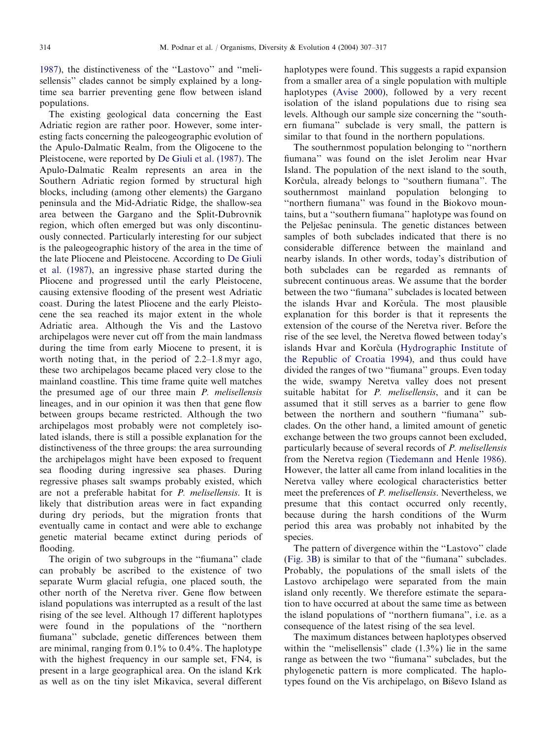[1987](#page-9-0)), the distinctiveness of the ''Lastovo'' and ''melisellensis'' clades cannot be simply explained by a longtime sea barrier preventing gene flow between island populations.

The existing geological data concerning the East Adriatic region are rather poor. However, some interesting facts concerning the paleogeographic evolution of the Apulo-Dalmatic Realm, from the Oligocene to the Pleistocene, were reported by [De Giuli et al. \(1987\).](#page-9-0) The Apulo-Dalmatic Realm represents an area in the Southern Adriatic region formed by structural high blocks, including (among other elements) the Gargano peninsula and the Mid-Adriatic Ridge, the shallow-sea area between the Gargano and the Split-Dubrovnik region, which often emerged but was only discontinuously connected. Particularly interesting for our subject is the paleogeographic history of the area in the time of the late Pliocene and Pleistocene. According to [De Giuli](#page-9-0) [et al. \(1987\),](#page-9-0) an ingressive phase started during the Pliocene and progressed until the early Pleistocene, causing extensive flooding of the present west Adriatic coast. During the latest Pliocene and the early Pleistocene the sea reached its major extent in the whole Adriatic area. Although the Vis and the Lastovo archipelagos were never cut off from the main landmass during the time from early Miocene to present, it is worth noting that, in the period of 2.2–1.8 myr ago, these two archipelagos became placed very close to the mainland coastline. This time frame quite well matches the presumed age of our three main P. melisellensis lineages, and in our opinion it was then that gene flow between groups became restricted. Although the two archipelagos most probably were not completely isolated islands, there is still a possible explanation for the distinctiveness of the three groups: the area surrounding the archipelagos might have been exposed to frequent sea flooding during ingressive sea phases. During regressive phases salt swamps probably existed, which are not a preferable habitat for P. melisellensis. It is likely that distribution areas were in fact expanding during dry periods, but the migration fronts that eventually came in contact and were able to exchange genetic material became extinct during periods of flooding.

The origin of two subgroups in the ''fiumana'' clade can probably be ascribed to the existence of two separate Wurm glacial refugia, one placed south, the other north of the Neretva river. Gene flow between island populations was interrupted as a result of the last rising of the see level. Although 17 different haplotypes were found in the populations of the ''northern fiumana'' subclade, genetic differences between them are minimal, ranging from 0.1% to 0.4%. The haplotype with the highest frequency in our sample set, FN4, is present in a large geographical area. On the island Krk as well as on the tiny islet Mikavica, several different

haplotypes were found. This suggests a rapid expansion from a smaller area of a single population with multiple haplotypes [\(Avise 2000](#page-9-0)), followed by a very recent isolation of the island populations due to rising sea levels. Although our sample size concerning the ''southern fiumana'' subclade is very small, the pattern is similar to that found in the northern populations.

The southernmost population belonging to ''northern fiumana'' was found on the islet Jerolim near Hvar Island. The population of the next island to the south, Korčula, already belongs to "southern fiumana". The southernmost mainland population belonging to ''northern fiumana'' was found in the Biokovo mountains, but a ''southern fiumana'' haplotype was found on the Pelješac peninsula. The genetic distances between samples of both subclades indicated that there is no considerable difference between the mainland and nearby islands. In other words, today's distribution of both subclades can be regarded as remnants of subrecent continuous areas. We assume that the border between the two ''fiumana'' subclades is located between the islands Hvar and Korčula. The most plausible explanation for this border is that it represents the extension of the course of the Neretva river. Before the rise of the see level, the Neretva flowed between today's islands Hvar and Korčula [\(Hydrographic Institute of](#page-9-0) [the Republic of Croatia 1994\)](#page-9-0), and thus could have divided the ranges of two ''fiumana'' groups. Even today the wide, swampy Neretva valley does not present suitable habitat for P. melisellensis, and it can be assumed that it still serves as a barrier to gene flow between the northern and southern ''fiumana'' subclades. On the other hand, a limited amount of genetic exchange between the two groups cannot been excluded, particularly because of several records of P. melisellensis from the Neretva region ([Tiedemann and Henle 1986\)](#page-10-0). However, the latter all came from inland localities in the Neretva valley where ecological characteristics better meet the preferences of P. melisellensis. Nevertheless, we presume that this contact occurred only recently, because during the harsh conditions of the Wurm period this area was probably not inhabited by the species.

The pattern of divergence within the ''Lastovo'' clade ([Fig. 3B](#page-5-0)) is similar to that of the ''fiumana'' subclades. Probably, the populations of the small islets of the Lastovo archipelago were separated from the main island only recently. We therefore estimate the separation to have occurred at about the same time as between the island populations of ''northern fiumana'', i.e. as a consequence of the latest rising of the sea level.

The maximum distances between haplotypes observed within the "melisellensis" clade  $(1.3\%)$  lie in the same range as between the two ''fiumana'' subclades, but the phylogenetic pattern is more complicated. The haplotypes found on the Vis archipelago, on Biševo Island as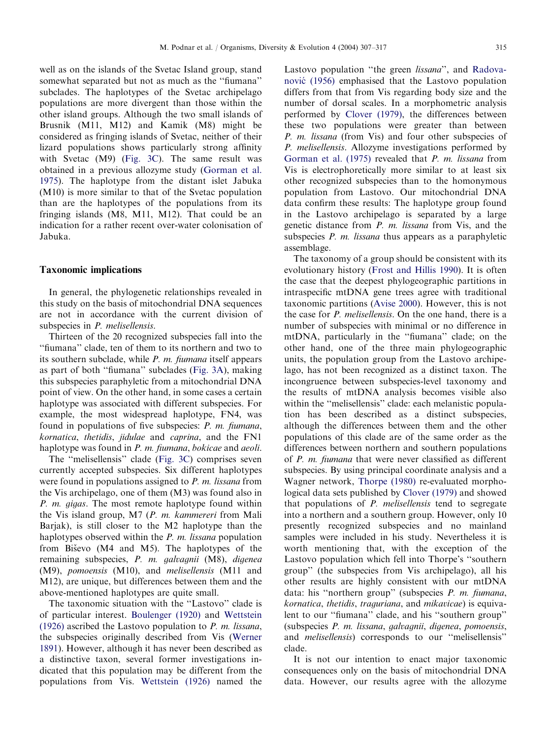well as on the islands of the Svetac Island group, stand somewhat separated but not as much as the ''fiumana'' subclades. The haplotypes of the Svetac archipelago populations are more divergent than those within the other island groups. Although the two small islands of Brusnik (M11, M12) and Kamik (M8) might be considered as fringing islands of Svetac, neither of their lizard populations shows particularly strong affinity with Svetac (M9) [\(Fig. 3C](#page-5-0)). The same result was obtained in a previous allozyme study ([Gorman et al.](#page-9-0) [1975](#page-9-0)). The haplotype from the distant islet Jabuka (M10) is more similar to that of the Svetac population than are the haplotypes of the populations from its fringing islands (M8, M11, M12). That could be an indication for a rather recent over-water colonisation of Jabuka.

#### Taxonomic implications

In general, the phylogenetic relationships revealed in this study on the basis of mitochondrial DNA sequences are not in accordance with the current division of subspecies in *P. melisellensis*.

Thirteen of the 20 recognized subspecies fall into the ''fiumana'' clade, ten of them to its northern and two to its southern subclade, while P. m. fiumana itself appears as part of both ''fiumana'' subclades [\(Fig. 3A](#page-5-0)), making this subspecies paraphyletic from a mitochondrial DNA point of view. On the other hand, in some cases a certain haplotype was associated with different subspecies. For example, the most widespread haplotype, FN4, was found in populations of five subspecies: P. m. fiumana, kornatica, thetidis, jidulae and caprina, and the FN1 haplotype was found in *P. m. fiumana, bokicae* and *aeoli*.

The ''melisellensis'' clade [\(Fig. 3C](#page-5-0)) comprises seven currently accepted subspecies. Six different haplotypes were found in populations assigned to *P. m. lissana* from the Vis archipelago, one of them (M3) was found also in P. m. gigas. The most remote haplotype found within the Vis island group, M7 (P. m. kammereri from Mali Barjak), is still closer to the M2 haplotype than the haplotypes observed within the *P. m. lissana* population from Biševo  $(M4 \text{ and } M5)$ . The haplotypes of the remaining subspecies, P. m. galvagnii (M8), digenea (M9), pomoensis (M10), and melisellensis (M11 and M12), are unique, but differences between them and the above-mentioned haplotypes are quite small.

The taxonomic situation with the ''Lastovo'' clade is of particular interest. [Boulenger \(1920\)](#page-9-0) and [Wettstein](#page-10-0) [\(1926\)](#page-10-0) ascribed the Lastovo population to  $P$ . m. lissana, the subspecies originally described from Vis ([Werner](#page-10-0) [1891](#page-10-0)). However, although it has never been described as a distinctive taxon, several former investigations indicated that this population may be different from the populations from Vis. [Wettstein \(1926\)](#page-10-0) named the Lastovo population "the green *lissana*", and [Radova-](#page-9-0)nović [\(1956\)](#page-9-0) emphasised that the Lastovo population differs from that from Vis regarding body size and the number of dorsal scales. In a morphometric analysis performed by [Clover \(1979\)](#page-9-0), the differences between these two populations were greater than between P. m. lissana (from Vis) and four other subspecies of P. melisellensis. Allozyme investigations performed by [Gorman et al. \(1975\)](#page-9-0) revealed that P. m. lissana from Vis is electrophoretically more similar to at least six other recognized subspecies than to the homonymous population from Lastovo. Our mitochondrial DNA data confirm these results: The haplotype group found in the Lastovo archipelago is separated by a large genetic distance from P. m. lissana from Vis, and the subspecies *P. m. lissana* thus appears as a paraphyletic assemblage.

The taxonomy of a group should be consistent with its evolutionary history ([Frost and Hillis 1990](#page-9-0)). It is often the case that the deepest phylogeographic partitions in intraspecific mtDNA gene trees agree with traditional taxonomic partitions ([Avise 2000](#page-9-0)). However, this is not the case for P. melisellensis. On the one hand, there is a number of subspecies with minimal or no difference in mtDNA, particularly in the ''fiumana'' clade; on the other hand, one of the three main phylogeographic units, the population group from the Lastovo archipelago, has not been recognized as a distinct taxon. The incongruence between subspecies-level taxonomy and the results of mtDNA analysis becomes visible also within the ''melisellensis'' clade: each melanistic population has been described as a distinct subspecies, although the differences between them and the other populations of this clade are of the same order as the differences between northern and southern populations of P. m. fiumana that were never classified as different subspecies. By using principal coordinate analysis and a Wagner network, [Thorpe \(1980\)](#page-10-0) re-evaluated morphological data sets published by [Clover \(1979\)](#page-9-0) and showed that populations of P. melisellensis tend to segregate into a northern and a southern group. However, only 10 presently recognized subspecies and no mainland samples were included in his study. Nevertheless it is worth mentioning that, with the exception of the Lastovo population which fell into Thorpe's ''southern group'' (the subspecies from Vis archipelago), all his other results are highly consistent with our mtDNA data: his ''northern group'' (subspecies P. m. fiumana, kornatica, thetidis, traguriana, and mikavicae) is equivalent to our ''fiumana'' clade, and his ''southern group'' (subspecies P. m. lissana, galvagnii, digenea, pomoensis, and melisellensis) corresponds to our ''melisellensis'' clade.

It is not our intention to enact major taxonomic consequences only on the basis of mitochondrial DNA data. However, our results agree with the allozyme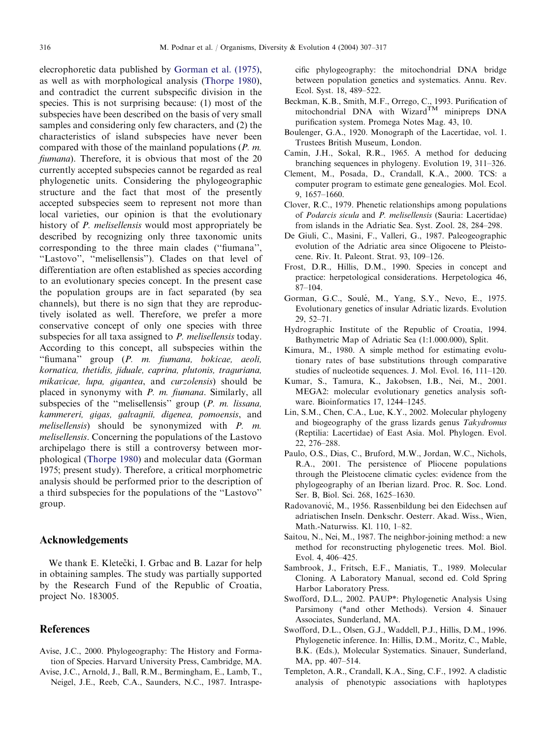<span id="page-9-0"></span>elecrophoretic data published by Gorman et al. (1975), as well as with morphological analysis ([Thorpe 1980\)](#page-10-0), and contradict the current subspecific division in the species. This is not surprising because: (1) most of the subspecies have been described on the basis of very small samples and considering only few characters, and (2) the characteristics of island subspecies have never been compared with those of the mainland populations (P. m. fiumana). Therefore, it is obvious that most of the 20 currently accepted subspecies cannot be regarded as real phylogenetic units. Considering the phylogeographic structure and the fact that most of the presently accepted subspecies seem to represent not more than local varieties, our opinion is that the evolutionary history of *P. melisellensis* would most appropriately be described by recognizing only three taxonomic units corresponding to the three main clades (''fiumana'', "Lastovo", "melisellensis"). Clades on that level of differentiation are often established as species according to an evolutionary species concept. In the present case the population groups are in fact separated (by sea channels), but there is no sign that they are reproductively isolated as well. Therefore, we prefer a more conservative concept of only one species with three subspecies for all taxa assigned to *P. melisellensis* today. According to this concept, all subspecies within the ''fiumana'' group (P. m. fiumana, bokicae, aeoli, kornatica, thetidis, jiduale, caprina, plutonis, traguriana, mikavicae, lupa, gigantea, and curzolensis) should be placed in synonymy with P. m. fiumana. Similarly, all subspecies of the "melisellensis" group (P. m. lissana, kammereri, gigas, galvagnii, digenea, pomoensis, and melisellensis) should be synonymized with P. m. melisellensis. Concerning the populations of the Lastovo archipelago there is still a controversy between morphological ([Thorpe 1980](#page-10-0)) and molecular data (Gorman 1975; present study). Therefore, a critical morphometric analysis should be performed prior to the description of a third subspecies for the populations of the ''Lastovo'' group.

## Acknowledgements

We thank E. Kletečki, I. Grbac and B. Lazar for help in obtaining samples. The study was partially supported by the Research Fund of the Republic of Croatia, project No. 183005.

## References

- Avise, J.C., 2000. Phylogeography: The History and Formation of Species. Harvard University Press, Cambridge, MA.
- Avise, J.C., Arnold, J., Ball, R.M., Bermingham, E., Lamb, T., Neigel, J.E., Reeb, C.A., Saunders, N.C., 1987. Intraspe-

cific phylogeography: the mitochondrial DNA bridge between population genetics and systematics. Annu. Rev. Ecol. Syst. 18, 489–522.

- Beckman, K.B., Smith, M.F., Orrego, C., 1993. Purification of mitochondrial DNA with Wizard $T^M$  minipreps DNA purification system. Promega Notes Mag. 43, 10.
- Boulenger, G.A., 1920. Monograph of the Lacertidae, vol. 1. Trustees British Museum, London.
- Camin, J.H., Sokal, R.R., 1965. A method for deducing branching sequences in phylogeny. Evolution 19, 311–326.
- Clement, M., Posada, D., Crandall, K.A., 2000. TCS: a computer program to estimate gene genealogies. Mol. Ecol. 9, 1657–1660.
- Clover, R.C., 1979. Phenetic relationships among populations of Podarcis sicula and P. melisellensis (Sauria: Lacertidae) from islands in the Adriatic Sea. Syst. Zool. 28, 284–298.
- De Giuli, C., Masini, F., Valleri, G., 1987. Paleogeographic evolution of the Adriatic area since Oligocene to Pleistocene. Riv. It. Paleont. Strat. 93, 109–126.
- Frost, D.R., Hillis, D.M., 1990. Species in concept and practice: herpetological considerations. Herpetologica 46, 87–104.
- Gorman, G.C., Soulé, M., Yang, S.Y., Nevo, E., 1975. Evolutionary genetics of insular Adriatic lizards. Evolution 29, 52–71.
- Hydrographic Institute of the Republic of Croatia, 1994. Bathymetric Map of Adriatic Sea (1:1.000.000), Split.
- Kimura, M., 1980. A simple method for estimating evolutionary rates of base substitutions through comparative studies of nucleotide sequences. J. Mol. Evol. 16, 111–120.
- Kumar, S., Tamura, K., Jakobsen, I.B., Nei, M., 2001. MEGA2: molecular evolutionary genetics analysis software. Bioinformatics 17, 1244–1245.
- Lin, S.M., Chen, C.A., Lue, K.Y., 2002. Molecular phylogeny and biogeography of the grass lizards genus Takydromus (Reptilia: Lacertidae) of East Asia. Mol. Phylogen. Evol. 22, 276–288.
- Paulo, O.S., Dias, C., Bruford, M.W., Jordan, W.C., Nichols, R.A., 2001. The persistence of Pliocene populations through the Pleistocene climatic cycles: evidence from the phylogeography of an Iberian lizard. Proc. R. Soc. Lond. Ser. B, Biol. Sci. 268, 1625–1630.
- Radovanović, M., 1956. Rassenbildung bei den Eidechsen auf adriatischen Inseln. Denkschr. Oesterr. Akad. Wiss., Wien, Math.-Naturwiss. Kl. 110, 1–82.
- Saitou, N., Nei, M., 1987. The neighbor-joining method: a new method for reconstructing phylogenetic trees. Mol. Biol. Evol. 4, 406–425.
- Sambrook, J., Fritsch, E.F., Maniatis, T., 1989. Molecular Cloning. A Laboratory Manual, second ed. Cold Spring Harbor Laboratory Press.
- Swofford, D.L., 2002. PAUP\*: Phylogenetic Analysis Using Parsimony (\*and other Methods). Version 4. Sinauer Associates, Sunderland, MA.
- Swofford, D.L., Olsen, G.J., Waddell, P.J., Hillis, D.M., 1996. Phylogenetic inference. In: Hillis, D.M., Moritz, C., Mable, B.K. (Eds.), Molecular Systematics. Sinauer, Sunderland, MA, pp. 407–514.
- Templeton, A.R., Crandall, K.A., Sing, C.F., 1992. A cladistic analysis of phenotypic associations with haplotypes